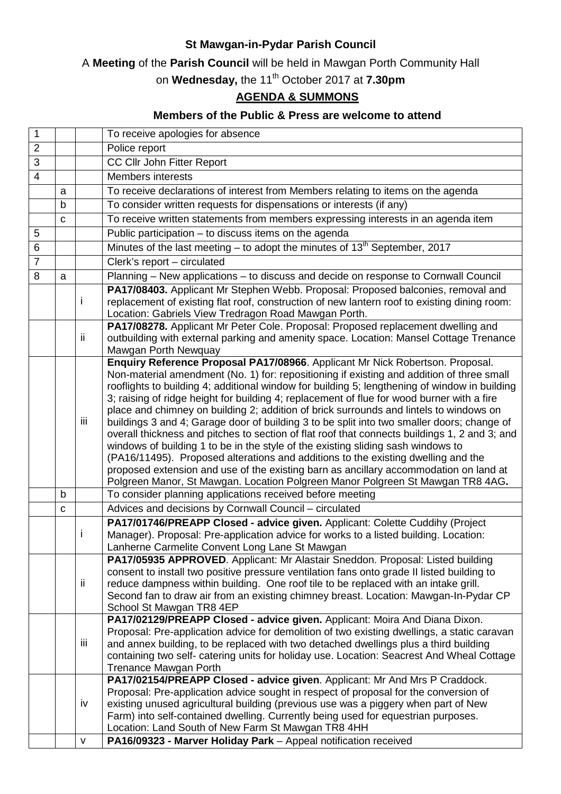## **St Mawgan-in-Pydar Parish Council**

## A **Meeting** of the **Parish Council** will be held in Mawgan Porth Community Hall

on **Wednesday,** the 11th October 2017 at **7.30pm**

## **AGENDA & SUMMONS**

## **Members of the Public & Press are welcome to attend**

| 1              |   |     | To receive apologies for absence                                                                                                                                                     |
|----------------|---|-----|--------------------------------------------------------------------------------------------------------------------------------------------------------------------------------------|
| $\overline{2}$ |   |     | Police report                                                                                                                                                                        |
| 3              |   |     | CC Cllr John Fitter Report                                                                                                                                                           |
| $\overline{4}$ |   |     | <b>Members interests</b>                                                                                                                                                             |
|                | a |     | To receive declarations of interest from Members relating to items on the agenda                                                                                                     |
|                | b |     | To consider written requests for dispensations or interests (if any)                                                                                                                 |
|                | C |     | To receive written statements from members expressing interests in an agenda item                                                                                                    |
| 5              |   |     | Public participation - to discuss items on the agenda                                                                                                                                |
| 6              |   |     | Minutes of the last meeting – to adopt the minutes of $13th$ September, 2017                                                                                                         |
| $\overline{7}$ |   |     | Clerk's report - circulated                                                                                                                                                          |
| 8              | a |     | Planning - New applications - to discuss and decide on response to Cornwall Council                                                                                                  |
|                |   |     | PA17/08403. Applicant Mr Stephen Webb. Proposal: Proposed balconies, removal and                                                                                                     |
|                |   | L   | replacement of existing flat roof, construction of new lantern roof to existing dining room:                                                                                         |
|                |   |     | Location: Gabriels View Tredragon Road Mawgan Porth.                                                                                                                                 |
|                |   |     | PA17/08278. Applicant Mr Peter Cole. Proposal: Proposed replacement dwelling and                                                                                                     |
|                |   | ij. | outbuilding with external parking and amenity space. Location: Mansel Cottage Trenance                                                                                               |
|                |   |     | Mawgan Porth Newquay                                                                                                                                                                 |
|                |   |     | Enquiry Reference Proposal PA17/08966. Applicant Mr Nick Robertson. Proposal.                                                                                                        |
|                |   |     | Non-material amendment (No. 1) for: repositioning if existing and addition of three small                                                                                            |
|                |   |     | rooflights to building 4; additional window for building 5; lengthening of window in building                                                                                        |
|                |   | iii | 3; raising of ridge height for building 4; replacement of flue for wood burner with a fire                                                                                           |
|                |   |     | place and chimney on building 2; addition of brick surrounds and lintels to windows on<br>buildings 3 and 4; Garage door of building 3 to be split into two smaller doors; change of |
|                |   |     | overall thickness and pitches to section of flat roof that connects buildings 1, 2 and 3; and                                                                                        |
|                |   |     | windows of building 1 to be in the style of the existing sliding sash windows to                                                                                                     |
|                |   |     | (PA16/11495). Proposed alterations and additions to the existing dwelling and the                                                                                                    |
|                |   |     | proposed extension and use of the existing barn as ancillary accommodation on land at                                                                                                |
|                |   |     | Polgreen Manor, St Mawgan. Location Polgreen Manor Polgreen St Mawgan TR8 4AG.                                                                                                       |
|                | b |     | To consider planning applications received before meeting                                                                                                                            |
|                | C |     | Advices and decisions by Cornwall Council - circulated                                                                                                                               |
|                |   |     | PA17/01746/PREAPP Closed - advice given. Applicant: Colette Cuddihy (Project                                                                                                         |
|                |   | Ť   | Manager). Proposal: Pre-application advice for works to a listed building. Location:                                                                                                 |
|                |   |     | Lanherne Carmelite Convent Long Lane St Mawgan                                                                                                                                       |
|                |   | ij. | PA17/05935 APPROVED. Applicant: Mr Alastair Sneddon. Proposal: Listed building                                                                                                       |
|                |   |     | consent to install two positive pressure ventilation fans onto grade II listed building to                                                                                           |
|                |   |     | reduce dampness within building. One roof tile to be replaced with an intake grill.                                                                                                  |
|                |   |     | Second fan to draw air from an existing chimney breast. Location: Mawgan-In-Pydar CP                                                                                                 |
|                |   |     | School St Mawgan TR8 4EP                                                                                                                                                             |
|                |   |     | PA17/02129/PREAPP Closed - advice given. Applicant: Moira And Diana Dixon.                                                                                                           |
|                |   | iii | Proposal: Pre-application advice for demolition of two existing dwellings, a static caravan<br>and annex building, to be replaced with two detached dwellings plus a third building  |
|                |   |     | containing two self- catering units for holiday use. Location: Seacrest And Wheal Cottage                                                                                            |
|                |   |     | <b>Trenance Mawgan Porth</b>                                                                                                                                                         |
|                |   |     | PA17/02154/PREAPP Closed - advice given. Applicant: Mr And Mrs P Craddock.                                                                                                           |
|                |   | iv  | Proposal: Pre-application advice sought in respect of proposal for the conversion of                                                                                                 |
|                |   |     | existing unused agricultural building (previous use was a piggery when part of New                                                                                                   |
|                |   |     | Farm) into self-contained dwelling. Currently being used for equestrian purposes.                                                                                                    |
|                |   |     | Location: Land South of New Farm St Mawgan TR8 4HH                                                                                                                                   |
|                |   | V   | PA16/09323 - Marver Holiday Park - Appeal notification received                                                                                                                      |